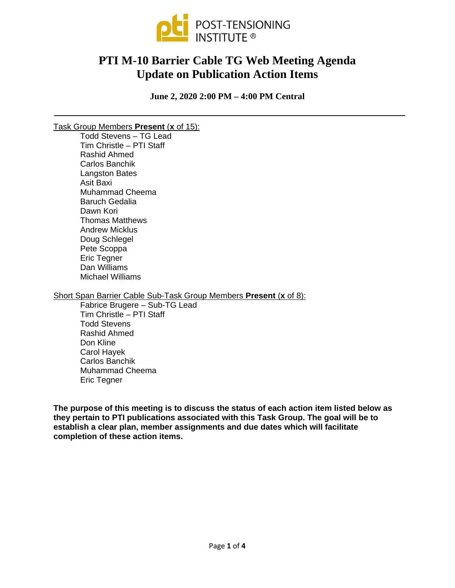

# **PTI M-10 Barrier Cable TG Web Meeting Agenda Update on Publication Action Items**

**June 2, 2020 2:00 PM – 4:00 PM Central**

## Task Group Members **Present** (**x** of 15):

Todd Stevens – TG Lead Tim Christle – PTI Staff Rashid Ahmed Carlos Banchik Langston Bates Asit Baxi Muhammad Cheema Baruch Gedalia Dawn Kori Thomas Matthews Andrew Micklus Doug Schlegel Pete Scoppa Eric Tegner Dan Williams Michael Williams

Short Span Barrier Cable Sub-Task Group Members **Present** (**x** of 8):

Fabrice Brugere – Sub-TG Lead Tim Christle – PTI Staff Todd Stevens Rashid Ahmed Don Kline Carol Hayek Carlos Banchik Muhammad Cheema Eric Tegner

**The purpose of this meeting is to discuss the status of each action item listed below as they pertain to PTI publications associated with this Task Group. The goal will be to establish a clear plan, member assignments and due dates which will facilitate completion of these action items.**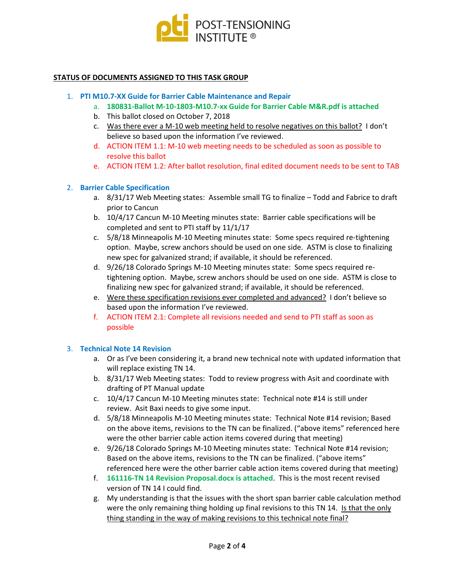

#### **STATUS OF DOCUMENTS ASSIGNED TO THIS TASK GROUP**

#### 1. **PTI M10.7-XX Guide for Barrier Cable Maintenance and Repair**

- a. **180831-Ballot M-10-1803-M10.7-xx Guide for Barrier Cable M&R.pdf is attached**
- b. This ballot closed on October 7, 2018
- c. Was there ever a M-10 web meeting held to resolve negatives on this ballot? I don't believe so based upon the information I've reviewed.
- d. ACTION ITEM 1.1: M-10 web meeting needs to be scheduled as soon as possible to resolve this ballot
- e. ACTION ITEM 1.2: After ballot resolution, final edited document needs to be sent to TAB

## 2. **Barrier Cable Specification**

- a. 8/31/17 Web Meeting states: Assemble small TG to finalize Todd and Fabrice to draft prior to Cancun
- b. 10/4/17 Cancun M-10 Meeting minutes state: Barrier cable specifications will be completed and sent to PTI staff by 11/1/17
- c. 5/8/18 Minneapolis M-10 Meeting minutes state: Some specs required re-tightening option. Maybe, screw anchors should be used on one side. ASTM is close to finalizing new spec for galvanized strand; if available, it should be referenced.
- d. 9/26/18 Colorado Springs M-10 Meeting minutes state: Some specs required retightening option. Maybe, screw anchors should be used on one side. ASTM is close to finalizing new spec for galvanized strand; if available, it should be referenced.
- e. Were these specification revisions ever completed and advanced? I don't believe so based upon the information I've reviewed.
- f. ACTION ITEM 2.1: Complete all revisions needed and send to PTI staff as soon as possible

## 3. **Technical Note 14 Revision**

- a. Or as I've been considering it, a brand new technical note with updated information that will replace existing TN 14.
- b. 8/31/17 Web Meeting states: Todd to review progress with Asit and coordinate with drafting of PT Manual update
- c. 10/4/17 Cancun M-10 Meeting minutes state: Technical note #14 is still under review. Asit Baxi needs to give some input.
- d. 5/8/18 Minneapolis M-10 Meeting minutes state: Technical Note #14 revision; Based on the above items, revisions to the TN can be finalized. ("above items" referenced here were the other barrier cable action items covered during that meeting)
- e. 9/26/18 Colorado Springs M-10 Meeting minutes state: Technical Note #14 revision; Based on the above items, revisions to the TN can be finalized. ("above items" referenced here were the other barrier cable action items covered during that meeting)
- f. **161116-TN 14 Revision Proposal.docx is attached**. This is the most recent revised version of TN 14 I could find.
- g. My understanding is that the issues with the short span barrier cable calculation method were the only remaining thing holding up final revisions to this TN 14. Is that the only thing standing in the way of making revisions to this technical note final?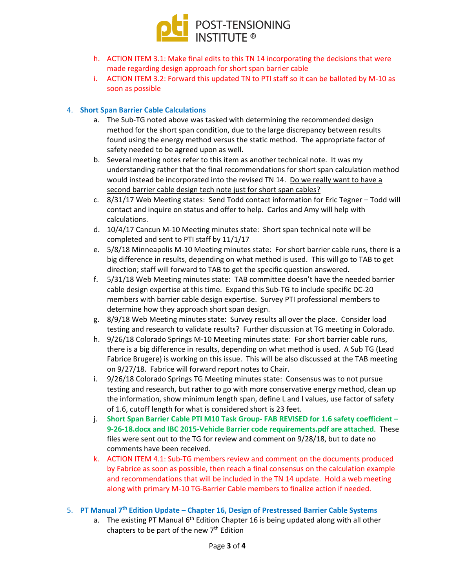

- h. ACTION ITEM 3.1: Make final edits to this TN 14 incorporating the decisions that were made regarding design approach for short span barrier cable
- i. ACTION ITEM 3.2: Forward this updated TN to PTI staff so it can be balloted by M-10 as soon as possible

# 4. **Short Span Barrier Cable Calculations**

- a. The Sub-TG noted above was tasked with determining the recommended design method for the short span condition, due to the large discrepancy between results found using the energy method versus the static method. The appropriate factor of safety needed to be agreed upon as well.
- b. Several meeting notes refer to this item as another technical note. It was my understanding rather that the final recommendations for short span calculation method would instead be incorporated into the revised TN 14. Do we really want to have a second barrier cable design tech note just for short span cables?
- c. 8/31/17 Web Meeting states: Send Todd contact information for Eric Tegner Todd will contact and inquire on status and offer to help. Carlos and Amy will help with calculations.
- d. 10/4/17 Cancun M-10 Meeting minutes state: Short span technical note will be completed and sent to PTI staff by 11/1/17
- e. 5/8/18 Minneapolis M-10 Meeting minutes state: For short barrier cable runs, there is a big difference in results, depending on what method is used. This will go to TAB to get direction; staff will forward to TAB to get the specific question answered.
- f. 5/31/18 Web Meeting minutes state: TAB committee doesn't have the needed barrier cable design expertise at this time. Expand this Sub-TG to include specific DC-20 members with barrier cable design expertise. Survey PTI professional members to determine how they approach short span design.
- g. 8/9/18 Web Meeting minutes state: Survey results all over the place. Consider load testing and research to validate results? Further discussion at TG meeting in Colorado.
- h. 9/26/18 Colorado Springs M-10 Meeting minutes state: For short barrier cable runs, there is a big difference in results, depending on what method is used. A Sub TG (Lead Fabrice Brugere) is working on this issue. This will be also discussed at the TAB meeting on 9/27/18. Fabrice will forward report notes to Chair.
- i. 9/26/18 Colorado Springs TG Meeting minutes state: Consensus was to not pursue testing and research, but rather to go with more conservative energy method, clean up the information, show minimum length span, define L and l values, use factor of safety of 1.6, cutoff length for what is considered short is 23 feet.
- j. **Short Span Barrier Cable PTI M10 Task Group- FAB REVISED for 1.6 safety coefficient – 9-26-18.docx and IBC 2015-Vehicle Barrier code requirements.pdf are attached**. These files were sent out to the TG for review and comment on 9/28/18, but to date no comments have been received.
- k. ACTION ITEM 4.1: Sub-TG members review and comment on the documents produced by Fabrice as soon as possible, then reach a final consensus on the calculation example and recommendations that will be included in the TN 14 update. Hold a web meeting along with primary M-10 TG-Barrier Cable members to finalize action if needed.

## 5. **PT Manual 7th Edition Update – Chapter 16, Design of Prestressed Barrier Cable Systems**

a. The existing PT Manual  $6<sup>th</sup>$  Edition Chapter 16 is being updated along with all other chapters to be part of the new  $7<sup>th</sup>$  Edition